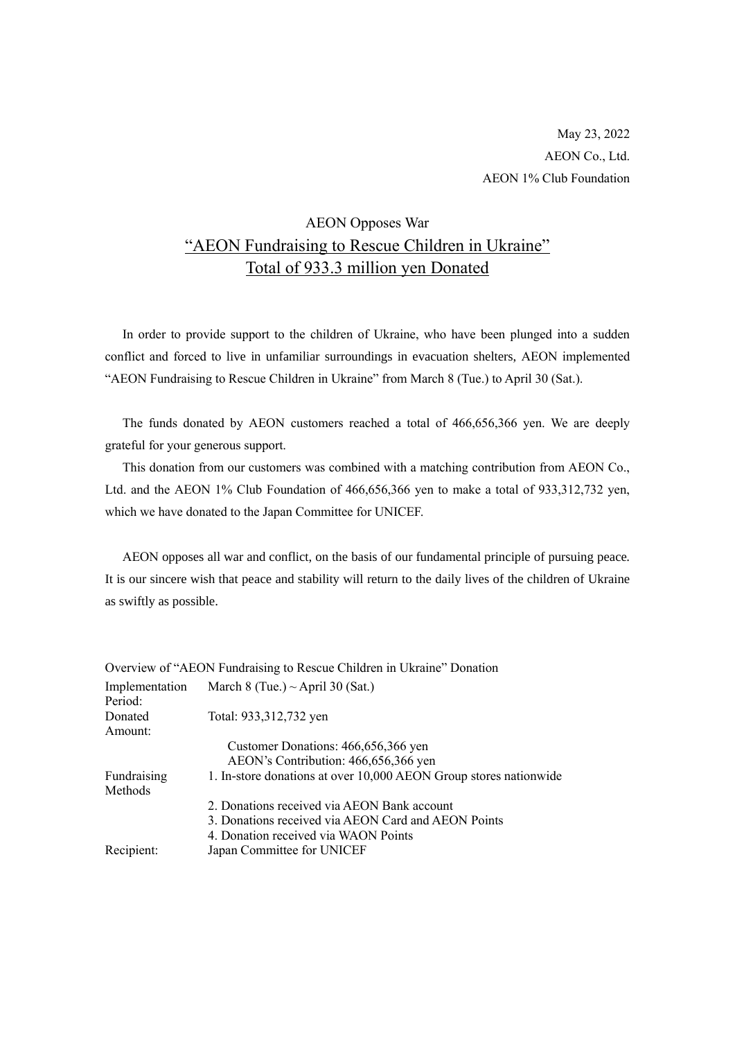# AEON Opposes War "AEON Fundraising to Rescue Children in Ukraine" Total of 933.3 million yen Donated

In order to provide support to the children of Ukraine, who have been plunged into a sudden conflict and forced to live in unfamiliar surroundings in evacuation shelters, AEON implemented "AEON Fundraising to Rescue Children in Ukraine" from March 8 (Tue.) to April 30 (Sat.).

The funds donated by AEON customers reached a total of 466,656,366 yen. We are deeply grateful for your generous support.

This donation from our customers was combined with a matching contribution from AEON Co., Ltd. and the AEON 1% Club Foundation of 466,656,366 yen to make a total of 933,312,732 yen, which we have donated to the Japan Committee for UNICEF.

AEON opposes all war and conflict, on the basis of our fundamental principle of pursuing peace. It is our sincere wish that peace and stability will return to the daily lives of the children of Ukraine as swiftly as possible.

|                | Overview of "AEON Fundraising to Rescue Children in Ukraine" Donation |
|----------------|-----------------------------------------------------------------------|
| Implementation | March 8 (Tue.) $\sim$ April 30 (Sat.)                                 |
| Period:        |                                                                       |
| Donated        | Total: 933,312,732 yen                                                |
| Amount:        |                                                                       |
|                | Customer Donations: 466,656,366 yen                                   |
|                | AEON's Contribution: 466,656,366 yen                                  |
| Fundraising    | 1. In-store donations at over 10,000 AEON Group stores nationwide     |
| Methods        |                                                                       |
|                | 2. Donations received via AEON Bank account                           |
|                | 3. Donations received via AEON Card and AEON Points                   |
|                | 4. Donation received via WAON Points                                  |
| Recipient:     | Japan Committee for UNICEF                                            |